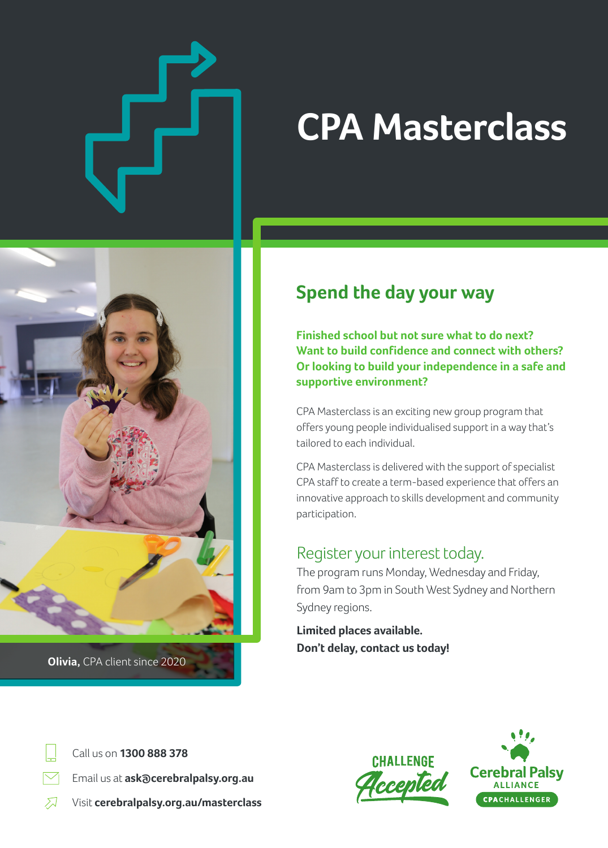# **CPA Masterclass**



**Olivia,** CPA client since 2020

# **Spend the day your way**

**Finished school but not sure what to do next? Want to build confidence and connect with others? Or looking to build your independence in a safe and supportive environment?**

CPA Masterclass is an exciting new group program that offers young people individualised support in a way that's tailored to each individual.

CPA Masterclass is delivered with the support of specialist CPA staff to create a term-based experience that offers an innovative approach to skills development and community participation.

### Register your interest today.

The program runs Monday, Wednesday and Friday, from 9am to 3pm in South West Sydney and Northern Sydney regions.

**Limited places available. Don't delay, contact us today!**

Call us on **1300 888 378**

**Email us at ask @cerebralpalsy.org.au** 

 $\mathcal{F}$ Visit **cerebralpalsy.org.au/masterclass**